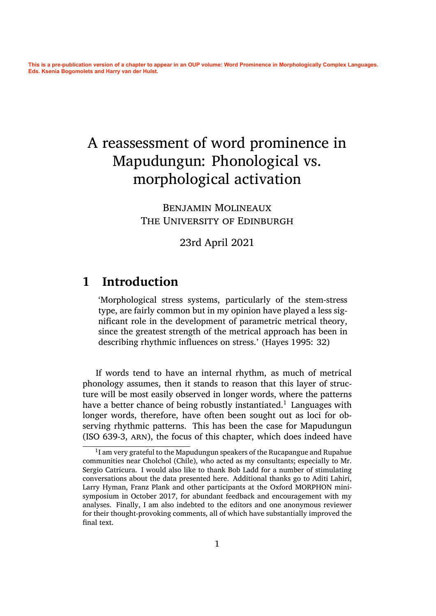# A reassessment of word prominence in Mapudungun: Phonological vs. morphological activation

Benjamin Molineaux THE UNIVERSITY OF EDINBURGH

23rd April 2021

### **1 Introduction**

'Morphological stress systems, particularly of the stem-stress type, are fairly common but in my opinion have played a less significant role in the development of parametric metrical theory, since the greatest strength of the metrical approach has been in describing rhythmic influences on stress.' (Hayes 1995: 32)

If words tend to have an internal rhythm[, as much o](#page-29-0)f metrical phonology assumes, then it stands to reason that this layer of structure will be most easily observed in longer words, where the patterns have a better chance of being robustly instantiated.<sup>1</sup> Languages with longer words, therefore, have often been sought out as loci for observing rhythmic patterns. This has been the case for Mapudungun (ISO 639-3, arn), the focus of this chapter, which [d](#page-0-0)oes indeed have

<span id="page-0-0"></span> $^{\rm 1}$ I am very grateful to the Mapudungun speakers of the Rucapangue and Rupahue communities near Cholchol (Chile), who acted as my consultants; especially to Mr. Sergio Catricura. I would also like to thank Bob Ladd for a number of stimulating conversations about the data presented here. Additional thanks go to Aditi Lahiri, Larry Hyman, Franz Plank and other participants at the Oxford MORPHON minisymposium in October 2017, for abundant feedback and encouragement with my analyses. Finally, I am also indebted to the editors and one anonymous reviewer for their thought-provoking comments, all of which have substantially improved the final text.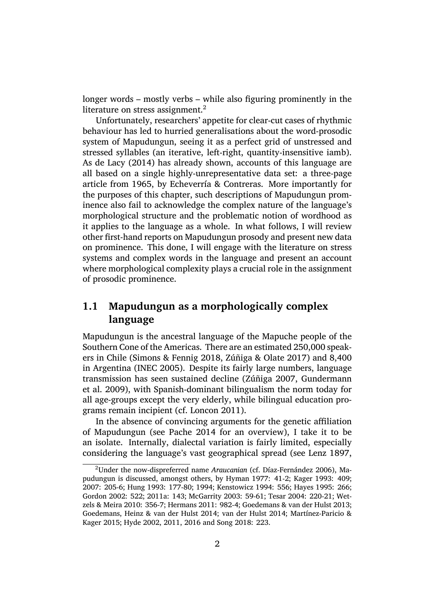longer words – mostly verbs – while also figuring prominently in the literature on stress assignment.<sup>2</sup>

Unfortunately, researchers' appetite for clear-cut cases of rhythmic behaviour has led to hurried generalisations about the word-prosodic system of Mapudungun, seein[g](#page-1-0) it as a perfect grid of unstressed and stressed syllables (an iterative, left-right, quantity-insensitive iamb). As de Lacy (2014) has already shown, accounts of this language are all based on a single highly-unrepresentative data set: a three-page article from 1965, by Echeverría & Contreras. More importantly for the [purposes of thi](#page-30-0)s chapter, such descriptions of Mapudungun prominence also fail to acknowledge the complex nature of the language's morphological structu[re and the problematic](#page-28-0) notion of wordhood as it applies to the language as a whole. In what follows, I will review other first-hand reports on Mapudungun prosody and present new data on prominence. This done, I will engage with the literature on stress systems and complex words in the language and present an account where morphological complexity plays a crucial role in the assignment of prosodic prominence.

#### **1.1 Mapudungun as a morphologically complex language**

Mapudungun is the ancestral language of the Mapuche people of the Southern Cone of the Americas. There are an estimated 250,000 speakers in Chile (Simons & Fennig 2018, Zúñiga & Olate 2017) and 8,400 in Argentina (INEC 2005). Despite its fairly large numbers, language transmission has seen sustained decline (Zúñiga 2007, Gundermann et al. 2009), [with Spanish-dominan](#page-32-0)t [bilingualism the norm](#page-32-1) today for all age-group[s except the](#page-30-1) very elderly, while bilingual education programs remain incipient (cf. Loncon 2011).

[In the a](#page-29-1)bsence of convincing argumen[ts for the gen](#page-32-2)e[tic affiliation](#page-29-1) of Mapudungun (see Pache 2014 for an overview), I take it to be an isolate. Internally, dial[ectal variation](#page-31-0) is fairly limited, especially considering the language's vast geographical spread (see Lenz 1897,

<span id="page-1-0"></span><sup>&</sup>lt;sup>2</sup>Under the now-dispr[eferred name](#page-31-1) *Araucanian* (cf. Díaz-Fernández 2006), Mapudungun is discussed, amongst others, by Hyman 1977: 41-2; Kager 1993: 409; 2007: 205-6; Hung 1993: 177-80; 1994; Kenstowicz 1994: 556; Hay[es 1995: 266](#page-31-2); Gordon 2002: 522; 2011a: 143; McGarrity 2003: 59-61; Tesar 2004: 220-21; Wetzels & Meira 2010: 356-7; Hermans 2011: 982-4; Goede[mans & van der Hulst](#page-28-1) 2013; Goedemans, Heinz & v[an der Hulst](#page-30-2) 2014; van der Hulst 2014; Martínez-Par[i](#page-29-0)cio & [Kager](#page-30-4) [2015;](#page-29-3) [Hyde 2002,](#page-29-2) 2011, 2016 [and](#page-30-5) [Song 2018: 223.](#page-30-6)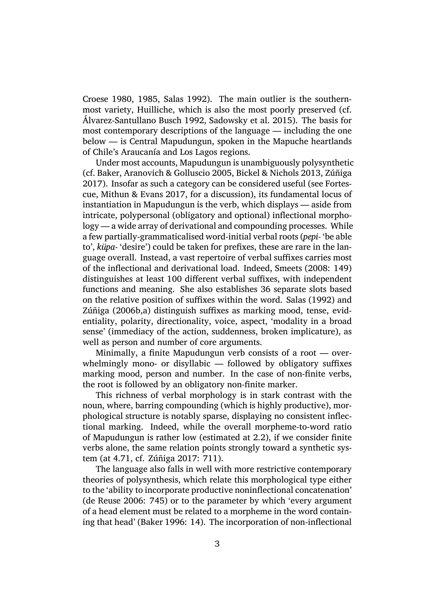Croese 1980, 1985, Salas 1992). The main outlier is the southernmost variety, Huilliche, which is also the most poorly preserved (cf. Álvarez-Santullano Busch 1992, Sadowsky et al. 2015). The basis for [most contem](#page-28-3)p[orary](#page-28-4) [descriptions](#page-32-4) of the language — including the one below — is Central Mapudungun, spoken in the Mapuche heartlands [of Chile's Araucanía and Los La](#page-27-0)gos regions.

Under most accounts, Mapud[ungun is unambiguous](#page-31-4)ly polysynthetic (cf. Baker, Aranovich & Golluscio 2005, Bickel & Nichols 2013, Zúñiga 2017). Insofar as such a category can be considered useful (see Fortescue, Mithun & Evans 2017, for a discussion), its fundamental locus of inst[antiation in Mapudungun is the ver](#page-27-1)[b, which displays — asi](#page-27-2)[de from](#page-32-5) [intric](#page-32-5)ate, polypersonal (obligatory and optional) inflectional [morpho](#page-28-5)[logy — a wide array of deriv](#page-28-5)ational and compounding processes. While a few partially-grammaticalised word-initial verbal roots (*pepi-* 'be able to', *küpa-* 'desire') could be taken for prefixes, these are rare in the language overall. Instead, a vast repertoire of verbal suffixes carries most of the inflectional and derivational load. Indeed, Smeets (2008: 149) distinguishes at least 100 different verbal suffixes, with independent functions and meaning. She also establishes 36 separate slots based on the relative position of suffixes within the word. [Salas \(1992](#page-32-6)) and Zúñiga (2006b,a) distinguish suffixes as marking mood, tense, evidentiality, polarity, directionality, voice, aspect, 'modality in a broad sense' (immediacy of the action, suddenness, broke[n implicature](#page-32-4)), as [well as person](#page-32-7) [an](#page-32-8)d number of core arguments.

Minimally, a finite Mapudungun verb consists of a root — overwhelmingly mono- or disyllabic — followed by obligatory suffixes marking mood, person and number. In the case of non-finite verbs, the root is followed by an obligatory non-finite marker.

This richness of verbal morphology is in stark contrast with the noun, where, barring compounding (which is highly productive), morphological structure is notably sparse, displaying no consistent inflectional marking. Indeed, while the overall morpheme-to-word ratio of Mapudungun is rather low (estimated at 2.2), if we consider finite verbs alone, the same relation points strongly toward a synthetic system (at 4.71, cf. Zúñiga 2017: 711).

The language also falls in well with more restrictive contemporary theories of polysynthesis, which relate this morphological type either to the 'ability toi[ncorporate pr](#page-32-5)oductive noninflectional concatenation' (de Reuse 2006: 745) or to the parameter by which 'every argument of a head element must be related to a morpheme in the word containing that head' (Baker 1996: 14). The incorporation of non-inflectional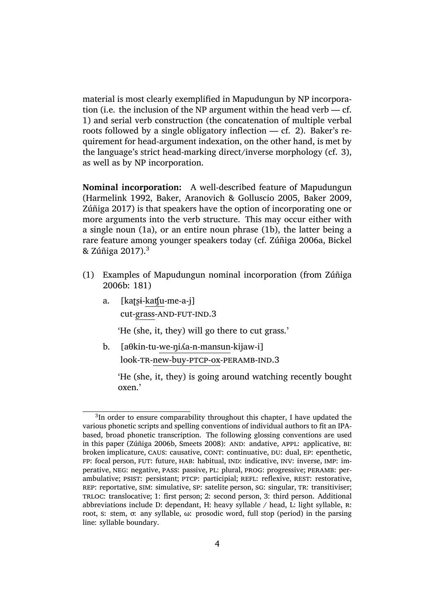material is most clearly exemplified in Mapudungun by NP incorporation (i.e. the inclusion of the NP argument within the head verb — cf. 1) and serial verb construction (the concatenation of multiple verbal roots followed by a single obligatory inflection — cf. 2). Baker's requirement for head-argument indexation, on the other hand, is met by [th](#page-3-0)e language's strict head-marking direct/inverse morphology (cf. 3), as well as by NP incorporation.

<span id="page-3-0"></span>**Nominal incorporation:** A well-described feature of Mapudun[gu](#page-4-0)n (Harmelink 1992, Baker, Aranovich & Golluscio 2005, Baker 2009, Zúñiga 2017) is that speakers have the option of incorporating one or more arguments into the verb structure. This may occur either with [a single noun \(1a](#page-29-6))[, or an entire noun phrase \(1b\), the](#page-27-1)l[atter being a](#page-27-3) [rare feature a](#page-32-5)mong younger speakers today (cf. Zúñiga 2006a, Bickel & Zúñiga 2017).<sup>3</sup>

- (1) Examples [o](#page-3-0)f Mapudungun nominal incor[p](#page-3-0)[oration \(from](#page-32-8) [Zúñiga](#page-27-4) [2006b: 18](#page-27-4)[1\)](#page-3-1)
	- a. [kaʈʂɨ-kaʧu-me-a-j] [cu](#page-32-7)t-grass-AND-FUT-IND.3

'He (she, it, they) will go there to cut grass.'

b. [aθkin-tu-we-ŋiʎa-n-mansun-kijaw-i] look-tr-new-buy-ptcp-ox-peramb-ind.3

'He (she, it, they) is going around watching recently bought oxen.'

<span id="page-3-1"></span><sup>&</sup>lt;sup>3</sup>In order to ensure comparability throughout this chapter, I have updated the various phonetic scripts and spelling conventions of individual authors to fit an IPAbased, broad phonetic transcription. The following glossing conventions are used in this paper (Zúñiga 2006b, Smeets 2008): AND: andative, APPL: applicative, BI: broken implicature, caus: causative, cont: continuative, du: dual, ep: epenthetic, FP: focal person, FUT: future, HAB: habitual, IND: indicative, INV: inverse, IMP: imperative, neg: negative, pass: passive, pl: plural, prog: progressive; peramb: perambulative; PSIST: persistant; PTCP: participial; REFL: reflexive, REST: restorative, REP: reportative, SIM: simulative, SP: satelite person, SG: singular, TR: transitiviser; trloc: translocative; 1: first person; 2: second person, 3: third person. Additional abbreviations include D: dependant, H: heavy syllable  $\land$  head, L: light syllable, R: root, s: stem, σ: any syllable, ω: prosodic word, full stop (period) in the parsing line: syllable boundary.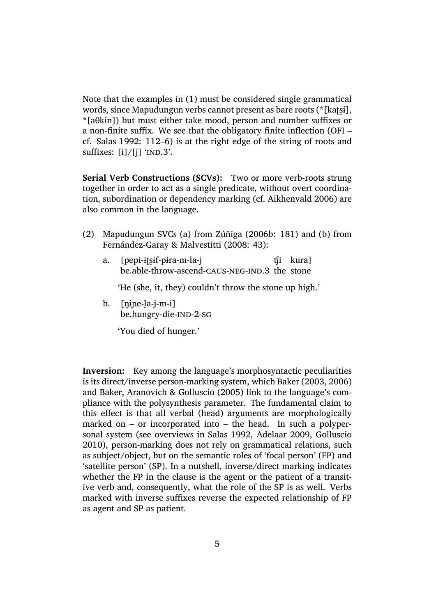Note that the examples in (1) must be considered single grammatical words, since Mapudungun verbs cannot present as bare roots (\*[kat͡si], \*[aθkin]) but must either take mood, person and number suffixes or a non-finite suffix. We see [th](#page-3-0)at the obligatory finite inflection (OFI – cf. Salas 1992: 112–6) is at the right edge of the string of roots and suffixes:  $[i]/[j]$  'IND.3'.

**Ser[ial Verb Co](#page-32-4)nstructions (SCVs):** Two or more verb-roots strung together in order to act as a single predicate, without overt coordination, subordination or dependency marking (cf. Aikhenvald 2006) are also common in the language.

- (2) Mapudungun SVCs (a) from Zúñiga (200[6b: 181\) and \(b\) f](#page-27-5)rom Fernández-Garay & Malvestitti (2008: 43):
	- a. [pepi-ɨʈʂɨf-pɨra-m-la-j be.able-throw-ascend-c[aus-neg-ind.3](#page-32-7) the stone ʧi kura]

['He \(she, it, they\) couldn't throw](#page-28-6) the stone up high.'

 $b.$  [nine-la-j-m-i] be.hungry-die-IND-2-sG

'You died of hunger.'

<span id="page-4-0"></span>**Inversion:** Key among the language's morphosyntactic peculiarities is its direct/inverse person-marking system, which Baker (2003, 2006) and Baker, Aranovich & Golluscio (2005) link to the language's compliance with the polysynthesis parameter. The fundamental claim to this effect is that all verbal (head) arguments a[re morpholo](#page-27-6)[gically](#page-27-7) mar[ked on – or incorporated into – the](#page-27-1) head. In such a polypersonal system (see overviews in Salas 1992, Adelaar 2009, Golluscio 2010), person-marking does not rely on grammatical relations, such as subject/object, but on the semantic roles of 'focal person' (FP) and 'satellite person' (SP). In a nuts[hell, inverse](#page-32-4)/[direct markin](#page-27-8)g [indicates](#page-29-7) [wheth](#page-29-7)er the FP in the clause is the agent or the patient of a transitive verb and, consequently, what the role of the SP is as well. Verbs marked with inverse suffixes reverse the expected relationship of FP as agent and SP as patient.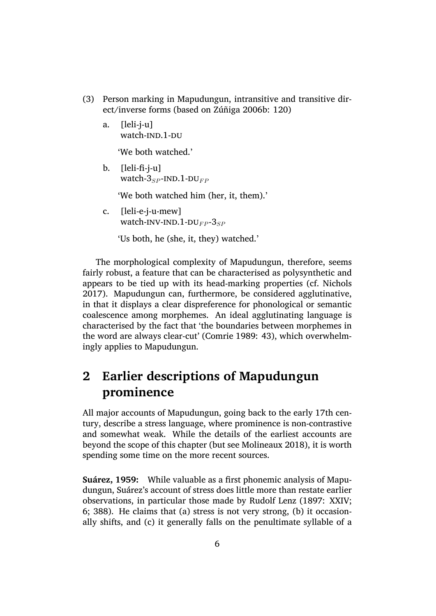- (3) Person marking in Mapudungun, intransitive and transitive direct/inverse forms (based on Zúñiga 2006b: 120)
	- a. [leli-j-u] watch-IND.1-DU

'We both watched.'

b. [leli-fi-j-u] watch- $3_{SP}$ -IND.1-DU<sub>FP</sub>

'We both watched him (her, it, them).'

c. [leli-e-j-u-mew] watch-INV-IND.1-DU<sub>FP</sub>-3<sub>SP</sub>

'Us both, he (she, it, they) watched.'

The morphological complexity of Mapudungun, therefore, seems fairly robust, a feature that can be characterised as polysynthetic and appears to be tied up with its head-marking properties (cf. Nichols 2017). Mapudungun can, furthermore, be considered agglutinative, in that it displays a clear dispreference for phonological or semantic coalescence among morphemes. An ideal agglutinating lan[guage is](#page-31-5) [chara](#page-31-5)cterised by the fact that 'the boundaries between morphemes in the word are always clear-cut' (Comrie 1989: 43), which overwhelmingly applies to Mapudungun.

# **2 Earlier descripti[ons of Ma](#page-28-7)pudungun prominence**

<span id="page-5-0"></span>All major accounts of Mapudungun, going back to the early 17th century, describe a stress language, where prominence is non-contrastive and somewhat weak. While the details of the earliest accounts are beyond the scope of this chapter (but see Molineaux 2018), it is worth spending some time on the more recent sources.

**Suárez, 1959:** While valuable as a first [phonemic analy](#page-31-6)sis of Mapudungun, Suárez's account of stress does little more than restate earlier observations, in particular those made by Rudolf Lenz (1897: XXIV; 6; 388). He claims that (a) stress is not very strong, (b) it occasionally shif[ts, and](#page-32-9) (c) it generally falls on the penultimate syllable of a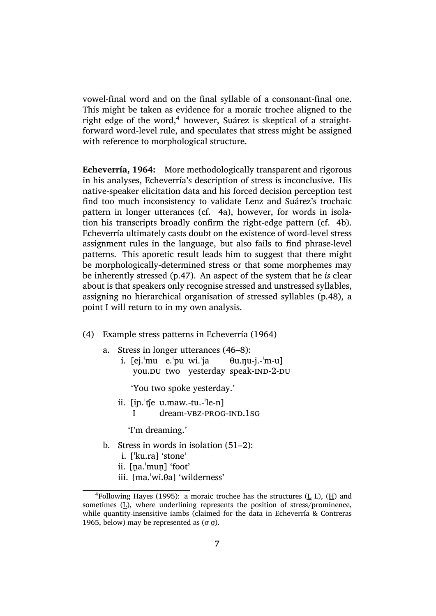vowel-final word and on the final syllable of a consonant-final one. This might be taken as evidence for a moraic trochee aligned to the right edge of the word, $4$  however, Suárez is skeptical of a straightforward word-level rule, and speculates that stress might be assigned with reference to morphological structure.

<span id="page-6-0"></span>**Echeverría, 1964:** More methodologically transparent and rigorous in his analyses, Echeverría's description of stress is inconclusive. His native-speaker elicitation data and his forced decision perception test find too much inconsistency to validate Lenz and Suárez's trochaic pattern in longer utterances (cf. 4a), however, for words in isolation his transcripts broadly confirm the right-edge pattern (cf. 4b). Echeverría ultimately casts doubt on the existence of word-level stress assignment rules in the language, [bu](#page-6-0)t also fails to find phrase-level patterns. This aporetic result leads him to suggest that there [migh](#page-6-0)t be morphologically-determined stress or that some morphemes may be inherently stressed (p.47). An aspect of the system that he *is* clear about is that speakers only recognise stressed and unstressed syllables, assigning no hierarchical organisation of stressed syllables (p.48), a point I will return to in my own analysis.

- (4) Example stress patterns in Echeverría (1964)
	- a. Stress in longer utterances (46–8):
		- i. [ej.ˈmu e.ˈpu wi.ˈja you.DU two yesterday speak-IND-2-DU  $\theta$ u.nu-j.- $'m$ -u]

'You two spoke yesterday.'

- ii. [iɲ.ˈʧe u.maw.-tu.-ˈle-n]
	- I dream-VBZ-PROG-IND.1SG

'I'm dreaming.'

- b. Stress in words in isolation (51–2):
	- i. [ˈku.ra] 'stone'
	- ii. [na.<sup>'</sup>mun] 'foot'
	- iii. [ma.ˈwi.θa] 'wilderness'

 $4$ Following Hayes (1995): a moraic trochee has the structures (L L), (H) and sometimes (L), where underlining represents the position of stress/prominence, while quantity-insensitive iambs (claimed for the data in Echeverría  $\&$  Contreras 1965, below) [may be represen](#page-29-0)ted as  $(\sigma \sigma)$ .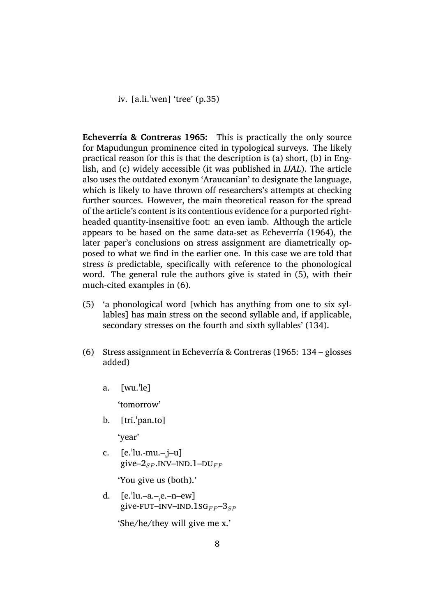iv. [a.li.ˈwen] 'tree' (p.35)

<span id="page-7-0"></span>**Echeverría & Contreras 1965:** This is practically the only source for Mapudungun prominence cited in typological surveys. The likely practical reason for this is that the description is (a) short, (b) in Eng[lish, and \(c\) widely accessible \(](#page-28-0)it was published in *IJAL*). The article also uses the outdated exonym 'Araucanian' to designate the language, which is likely to have thrown off researchers's attempts at checking further sources. However, the main theoretical reason for the spread of the article's content is its contentious evidence for a purported rightheaded quantity-insensitive foot: an even iamb. Although the article appears to be based on the same data-set as Echeverría (1964), the later paper's conclusions on stress assignment are diametrically opposed to what we find in the earlier one. In this case we are told that stress *is* predictable, specifically with refere[nce to the phonolo](#page-28-8)gical word. The general rule the authors give is stated in (5), with their much-cited examples in (6).

- (5) 'a phonological word [which has anything from one to six syllables] has main stress on the second syllable and[, i](#page-7-0)f applicable, secondary stresses [on](#page-7-0) the fourth and sixth syllables' (134).
- (6) Stress assignment in Echeverría & Contreras (1965: 134 glosses added)
	- a. [wu.ˈle]

'tomorrow'

b. [tri.ˈpan.to]

'year'

c.  $[e$ .  $\lceil e \cdot \text{lu} - \text{mu} - \text{j} - \text{u} \rceil$ give– $2_{SP}$ . INV–IND. 1–DU<sub>FP</sub>

'You give us (both).'

d.  $[e$ . |u.–a.– $e$ .–n–ew] give-FUT–INV–IND.1S $G_{FP}$ –3<sub>SP</sub>

'She/he/they will give me x.'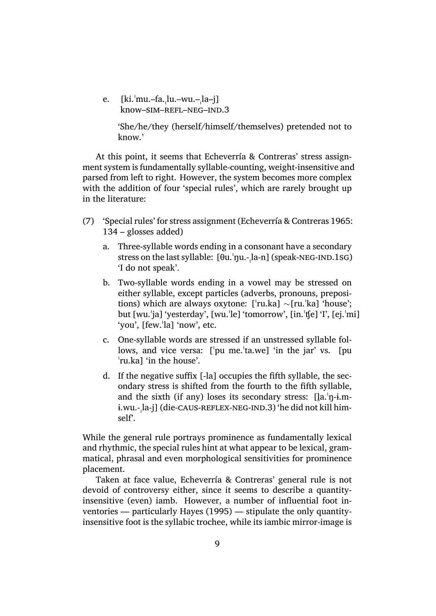e. [ki.ˈmu.–fa.ˌlu.–wu.–ˌla–j] know-SIM-REFL-NEG-IND.3

> 'She/he/they (herself/himself/themselves) pretended not to know.'

At this point, it seems that Echeverría & Contreras' stress assignment system is fundamentally syllable-counting, weight-insensitive and parsed from left to right. However, the system becomes more complex with the addition of four 'special rules', which are rarely brought up in the literature:

- (7) 'Special rules' for stress assignment (Echeverría & Contreras 1965: 134 – glosses added)
	- a. Three-syllable words ending in a consonant have a secondary stress on the last syllable:  $[\theta u, \eta u, -\lambda a - n]$  (speak-NEG-IND.1sG) 'I do not speak'.
	- b. Two-syllable words ending in a vowel may be stressed on either syllable, except particles (adverbs, pronouns, prepositions) which are always oxytone: [ˈru.ka] *∼*[ru.ˈka] 'house'; but [wu.ˈja] 'yesterday', [wu.ˈle] 'tomorrow', [in.ˈʧe] 'I', [ej.ˈmi] 'you', [few.ˈla] 'now', etc.
	- c. One-syllable words are stressed if an unstressed syllable follows, and vice versa: ['pu me.'ta.we] 'in the jar' vs. [pu ˈru.ka] 'in the house'.
	- d. If the negative suffix [-la] occupies the fifth syllable, the secondary stress is shifted from the fourth to the fifth syllable, and the sixth (if any) loses its secondary stress:  $[la, 'n-i.m$ ɨ.wu.-ˌla-j] (die-caus-reflex-neg-ind.3) 'he did not kill himself'.

While the general rule portrays prominence as fundamentally lexical and rhythmic, the special rules hint at what appear to be lexical, grammatical, phrasal and even morphological sensitivities for prominence placement.

Taken at face value, Echeverría & Contreras' general rule is not devoid of controversy either, since it seems to describe a quantityinsensitive (even) iamb. However, a number of influential foot inventories — particularly Hayes (1995) — stipulate the only quantityinsensitive foot is the syllabic trochee, while its iambic mirror-image is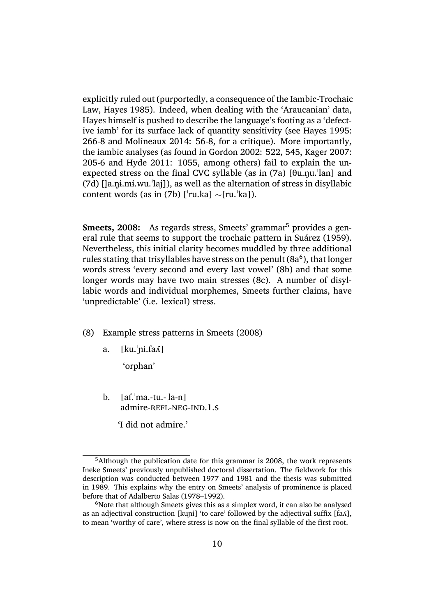explicitly ruled out (purportedly, a consequence of the Iambic-Trochaic Law, Hayes 1985). Indeed, when dealing with the 'Araucanian' data, Hayes himself is pushed to describe the language's footing as a 'defective iamb' for its surface lack of quantity sensitivity (see Hayes 1995: 266-8 and Molineaux 2014: 56-8, for a critique). More importantly, the i[ambic analys](#page-29-8)es (as found in Gordon 2002: 522, 545, Kager 2007: 205-6 and Hyde 2011: 1055, among others) fail to ex[plain the un](#page-29-0)expected s[tress on the final](#page-31-7) CVC syllable (as in (7a) [θu.ŋu.ˈlan] and  $(7d)$  [la.ni.mi.wu.<sup>'</sup>laj]), as well a[s the alternati](#page-29-3)on of stress [in disyllabic](#page-30-4) content wo[rds \(as in \(7](#page-30-7)b) [ˈru.ka] *∼*[ru.ˈka]).

<span id="page-9-1"></span>**[Sme](#page-7-0)ets, 2008:** As r[ega](#page-7-0)rds stress, Smeets' grammar<sup>5</sup> provides a general rule that seems to support the trochaic pattern in Suárez (1959). Nevertheless, this initial clarity becomes muddled by three additional rules stating that trisyllables have stress on the penult [\(](#page-9-0)8a $^6$ ), that longer words stress 'every second and every last vowel' (8b) [and that some](#page-32-9) longer words may have two main stresses (8c). A number of disyllabic words and individual morphemes, Smeets furt[her](#page-9-1) claims, have 'unpredictable' (i.e. lexical) stress.

- (8) Example stress patterns in Smeets (2008)
	- a. [ku.ˈɲi.faʎ]

'orphan'

b. [af.ˈma.-tu.-ˌla-n] admire-REFL-NEG-IND.1.S

'I did not admire.'

<sup>5</sup>Although the publication date for this grammar is 2008, the work represents Ineke Smeets' previously unpublished doctoral dissertation. The fieldwork for this description was conducted between 1977 and 1981 and the thesis was submitted in 1989. This explains why the entry on Smeets' analysis of prominence is placed before that of Adalberto Salas (1978–1992).

<span id="page-9-2"></span><span id="page-9-0"></span> $6$ Note that although Smeets gives this as a simplex word, it can also be analysed as an adjectival construction [kuni] 'to care' followed by the adjectival suffix  $[fa\Lambda]$ , to mean 'worthy of care', where stress is now on the final syllable of the first root.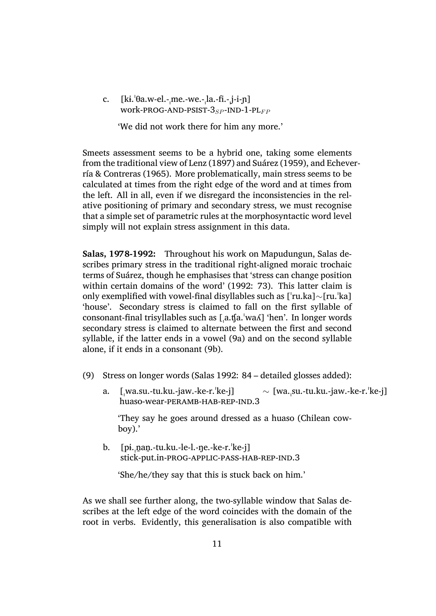c.  $[ki.\theta a.w\text{-}el.-me.\text{-}we.-la.\text{-}fi.-j-i-n]$ work-prog-and-psist-3*SP* -ind-1-pl*F P*

'We did not work there for him any more.'

Smeets assessment seems to be a hybrid one, taking some elements from the traditional view of Lenz (1897) and Suárez (1959), and Echeverría & Contreras (1965). More problematically, main stress seems to be calculated at times from the right edge of the word and at times from the left. All in all, even if [we disregard](#page-31-2) the [inconsistencie](#page-32-9)s in [the rel](#page-28-0)[ative positioning of pr](#page-28-0)imary and secondary stress, we must recognise that a simple set of parametric rules at the morphosyntactic word level simply will not explain stress assignment in this data.

<span id="page-10-0"></span>**Salas, 1978-1992:** Throughout his work on Mapudungun, Salas describes primary stress in the traditional right-aligned moraic trochaic terms of Suárez, though he emphasises that 'stress can change position within certain domains of the word' (1992: 73). This latter claim is only exemplified with vowel-final disyllables such as [ˈru.ka]*∼*[ru.ˈka] 'house'. Secondary stress is claimed to fall on the first syllable of consonant-final trisyllables such as [ˌa.[ʧa.ˈw](#page-32-4)aʎ] 'hen'. In longer words secondary stress is claimed to alternate between the first and second syllable, if the latter ends in a vowel (9a) and on the second syllable alone, if it ends in a consonant (9b).

- (9) Stress on longer words (Salas 199[2:](#page-10-0) 84 detailed glosses added):
	- a. [ˌwa.su.-tu.ku.-jaw.-ke[-r.ˈk](#page-10-0)e-j] huaso-wear-peramb-hab-rep-ind.3 *∼* [wa.ˌsu.-tu.ku.-jaw.-ke-r.ˈke-j]

'They say he goes around dressed as a huaso (Chilean cowboy).'

b.  $[p_i, \text{nan.tu.ku.-le-l-ne.-ke-r.'ke-j}]$ stick-put.in-prog-applic-pass-hab-rep-ind.3

'She/he/they say that this is stuck back on him.'

As we shall see further along, the two-syllable window that Salas describes at the left edge of the word coincides with the domain of the root in verbs. Evidently, this generalisation is also compatible with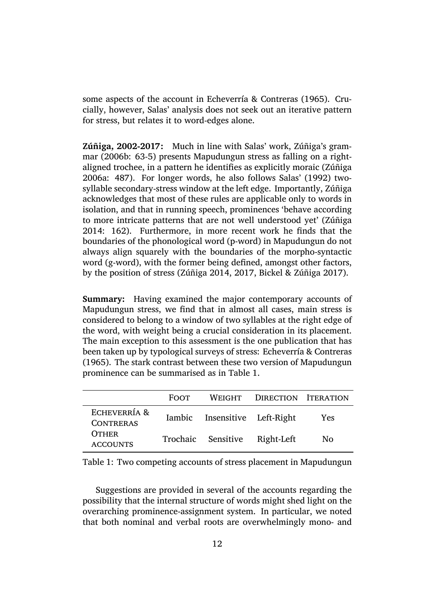some aspects of the account in Echeverría & Contreras (1965). Crucially, however, Salas' analysis does not seek out an iterative pattern for stress, but relates it to word-edges alone.

**Zúñiga, 2002-2017:** Much in line with Salas' work, Zúñiga's grammar (2006b: 63-5) presents Mapudungun stress as falling on a rightaligned trochee, in a pattern he identifies as explicitly moraic (Zúñiga 2006a: 487). For longer words, he also follows Salas' (1992) twosylla[ble seco](#page-32-7)ndary-stress window at the left edge. Importantly, Zúñiga acknowledges that most of these rules are applicable only to [words in](#page-32-8) [isolatio](#page-32-8)n, and that in running speech, prominences 'behav[e acco](#page-32-4)rding to more intricate patterns that are not well understood yet' (Zúñiga 2014: 162). Furthermore, in more recent work he finds that the boundaries of the phonological word (p-word) in Mapudungun do not always align squarely with the boundaries of the morpho-s[yntactic](#page-32-10) [word](#page-32-10) (g-word), with the former being defined, amongst other factors, by the position of stress (Zúñiga 2014, 2017, Bickel & Zúñiga 2017).

**Summary:** Having examined the major contemporary accounts of Mapudungun stress, we [find that in a](#page-32-10)[lmost](#page-32-5) [all cases, main stress](#page-27-4) is considered to belong to a window of two syllables at the right edge of the word, with weight being a crucial consideration in its placement. The main exception to this assessment is the one publication that has been taken up by typological surveys of stress: Echeverría & Contreras (1965). The stark contrast between these two version of Mapudungun prominence can be summarised as in Table 1.

|                                  | <b>FOOT</b> |                               | WEIGHT DIRECTION ITERATION |     |
|----------------------------------|-------------|-------------------------------|----------------------------|-----|
| ECHEVERRÍA &<br><b>CONTRERAS</b> |             | Iambic Insensitive Left-Right |                            | Yes |
| <b>OTHER</b><br><b>ACCOUNTS</b>  |             | Trochaic Sensitive            | Right-Left                 | No  |

Table 1: Two competing accounts of stress placement in Mapudungun

<span id="page-11-0"></span>Suggestions are provided in several of the accounts regarding the possibility that the internal structure of words might shed light on the overarching prominence-assignment system. In particular, we noted that both nominal and verbal roots are overwhelmingly mono- and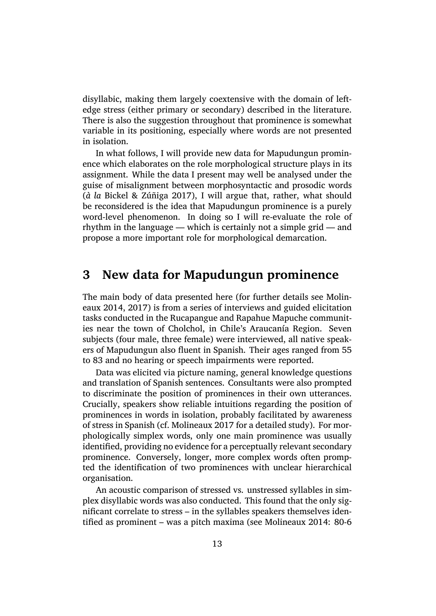disyllabic, making them largely coextensive with the domain of leftedge stress (either primary or secondary) described in the literature. There is also the suggestion throughout that prominence is somewhat variable in its positioning, especially where words are not presented in isolation.

In what follows, I will provide new data for Mapudungun prominence which elaborates on the role morphological structure plays in its assignment. While the data I present may well be analysed under the guise of misalignment between morphosyntactic and prosodic words (*à la* Bickel & Zúñiga 2017), I will argue that, rather, what should be reconsidered is the idea that Mapudungun prominence is a purely word-level phenomenon. In doing so I will re-evaluate the role of rhyth[m in the language — w](#page-27-4)hich is certainly not a simple grid — and propose a more important role for morphological demarcation.

### **3 New data for Mapudungun prominence**

The main body of data presented here (for further details see Molineaux 2014, 2017) is from a series of interviews and guided elicitation tasks conducted in the Rucapangue and Rapahue Mapuche communities near the town of Cholchol, in Chile's Araucanía Region. [Seven](#page-31-7) [subjects \(fo](#page-31-7)[ur ma](#page-31-8)le, three female) were interviewed, all native speakers of Mapudungun also fluent in Spanish. Their ages ranged from 55 to 83 and no hearing or speech impairments were reported.

Data was elicited via picture naming, general knowledge questions and translation of Spanish sentences. Consultants were also prompted to discriminate the position of prominences in their own utterances. Crucially, speakers show reliable intuitions regarding the position of prominences in words in isolation, probably facilitated by awareness of stress in Spanish (cf. Molineaux 2017 for a detailed study). For morphologically simplex words, only one main prominence was usually identified, providing no evidence for a perceptually relevant secondary prominence. Convers[ely, longer, more](#page-31-8) complex words often prompted the identification of two prominences with unclear hierarchical organisation.

An acoustic comparison of stressed vs. unstressed syllables in simplex disyllabic words was also conducted. This found that the only significant correlate to stress – in the syllables speakers themselves identified as prominent – was a pitch maxima (see Molineaux 2014: 80-6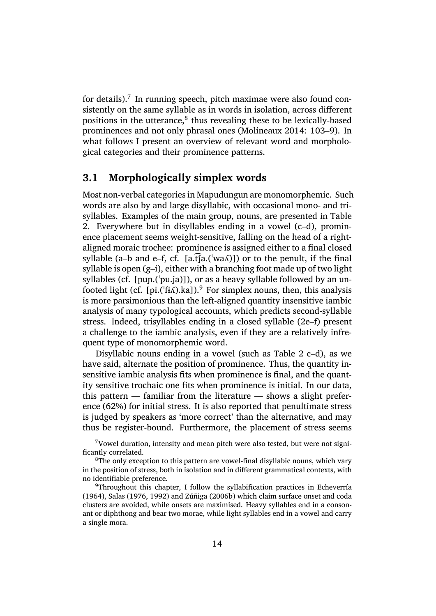for details).<sup>7</sup> In running speech, pitch maximae were also found consistently on the same syllable as in words in isolation, across different positions in the utterance,<sup>8</sup> thus revealing these to be lexically-based prominenc[es](#page-13-0) and not only phrasal ones (Molineaux 2014: 103–9). In what follows I present an overview of relevant word and morphological categories and their [pr](#page-13-1)ominence patterns.

#### **3.1 Morphologically simplex [words](#page-31-7)**

Most non-verbal categories in Mapudungun are monomorphemic. Such words are also by and large disyllabic, with occasional mono- and trisyllables. Examples of the main group, nouns, are presented in Table 2. Everywhere but in disyllables ending in a vowel (c–d), prominence placement seems weight-sensitive, falling on the head of a rightaligned moraic trochee: prominence is assigned either to a final closed [sy](#page-14-0)llable (a–b and e–f, cf. [a,t͡[a,( $\forall$ wa $\land$ )]) or to the penult, if the final syllable is open (g–i), either with a branching foot made up of two light syllables (cf. [puɲ.(ˈpu.ja)]), or as a heavy syllable followed by an unfooted light (cf. [pi.( $\frac{f}{i}$ fi.).ka]).<sup>9</sup> For simplex nouns, then, this analysis is more parsimonious than the left-aligned quantity insensitive iambic analysis of many typological accounts, which predicts second-syllable stress. Indeed, trisyllables en[d](#page-13-2)ing in a closed syllable (2e–f) present a challenge to the iambic analysis, even if they are a relatively infrequent type of monomorphemic word.

Disyllabic nouns ending in a vowel (such as Table [2](#page-14-0) c–d), as we have said, alternate the position of prominence. Thus, the quantity insensitive iambic analysis fits when prominence is final, and the quantity sensitive trochaic one fits when prominence is initia[l.](#page-14-0) In our data, this pattern  $-$  familiar from the literature  $-$  shows a slight preference (62%) for initial stress. It is also reported that penultimate stress is judged by speakers as 'more correct' than the alternative, and may thus be register-bound. Furthermore, the placement of stress seems

 $7$ Vowel duration, intensity and mean pitch were also tested, but were not significantly correlated.

<sup>&</sup>lt;sup>8</sup>The only exception to this pattern are vowel-final disyllabic nouns, which vary in the position of stress, both in isolation and in different grammatical contexts, with no identifiable preference.

<span id="page-13-2"></span><span id="page-13-1"></span><span id="page-13-0"></span> $9$ Throughout this chapter, I follow the syllabification practices in Echeverría (1964), Salas (1976, 1992) and Zúñiga (2006b) which claim surface onset and coda clusters are avoided, while onsets are maximised. Heavy syllables end in a consonant or diphthong and bear two morae, while light syllables end in a vow[el and carry](#page-28-8) [a singl](#page-28-8)e [mora.](#page-32-11)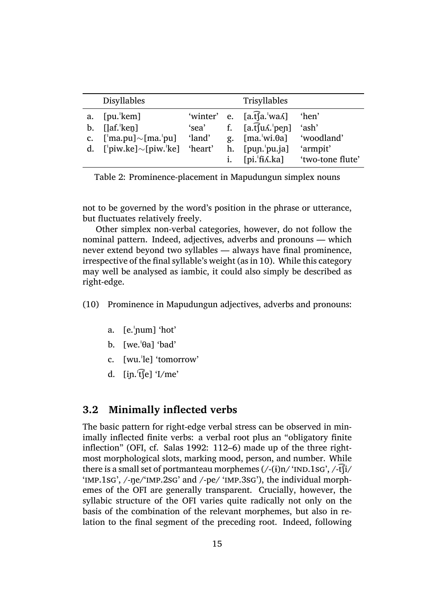|    | <b>Disyllables</b>                               |        | Trisyllables                                         |                  |
|----|--------------------------------------------------|--------|------------------------------------------------------|------------------|
| a. | $[pu.'$ kem]                                     |        | 'winter' e. $[a.\hat{t}]a.\text{ } [aa]$             | 'hen'            |
| b. | $[$ laf. $'$ ken $]$                             | 'sea'  | f. $[a.\hat{t}]\hat{u}\hat{\Lambda}$ . $[pep]$ 'ash' |                  |
|    | c. $[\text{ma.pu}] \sim [\text{ma.'pu}]$         | 'land' | g. $[ma]^{\text{w}}$ [ma. wi. $\theta$ a] 'woodland' |                  |
|    | d. [ $'$ piw.ke] $\sim$ [piw. $'$ ke] $'$ heart' |        | h. $[pup.]pu.ja]$                                    | 'armpit'         |
|    |                                                  |        | $\lceil$ pi. 'fi $\Lambda$ .ka]                      | 'two-tone flute' |
|    |                                                  |        |                                                      |                  |

Table 2: Prominence-placement in Mapudungun simplex nouns

<span id="page-14-0"></span>not to be governed by the word's position in the phrase or utterance, but fluctuates relatively freely.

Other simplex non-verbal categories, however, do not follow the nominal pattern. Indeed, adjectives, adverbs and pronouns — which never extend beyond two syllables — always have final prominence, irrespective of the final syllable's weight (as in 10). While this category may well be analysed as iambic, it could also simply be described as right-edge.

(10) Prominence in Mapudungun adjectives[, ad](#page-14-0)verbs and pronouns:

- a. [e.ˈɲum] 'hot'
- b.  $[we, 'θa] 'bad'$
- c. [wu.ˈle] 'tomorrow'
- d.  $\left[$ in.  $\left[\text{t}\right]\right]$  'I/me'

#### **3.2 Minimally inflected verbs**

<span id="page-14-1"></span>The basic pattern for right-edge verbal stress can be observed in minimally inflected finite verbs: a verbal root plus an "obligatory finite inflection" (OFI, cf. Salas 1992: 112–6) made up of the three rightmost morphological slots, marking mood, person, and number. While there is a small set of portmanteau morphemes  $(\frac{\cdot}{i})n'$  'IND.1sG',  $\frac{\cdot}{i}$ t $\int$ i/ 'imp.1sg', /-ŋe/'imp.[2sg' and /-](#page-32-4)pe/ 'imp.3sg'), the individual morphemes of the OFI are generally transparent. Crucially, however, the syllabic structure of the OFI varies quite radically not only on the basis of the combination of the relevant morphemes, but also in relation to the final segment of the preceding root. Indeed, following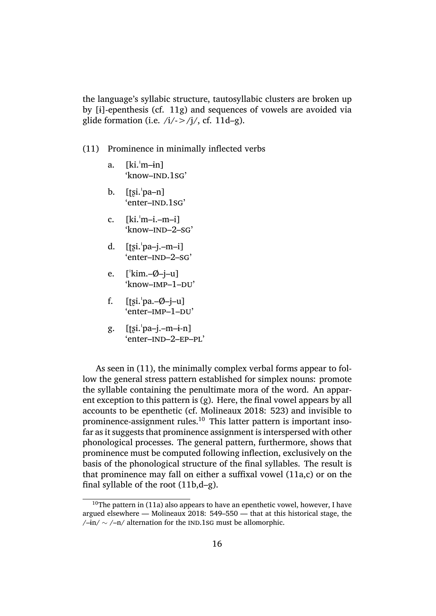the language's syllabic structure, tautosyllabic clusters are broken up by [ɨ]-epenthesis (cf. 11g) and sequences of vowels are avoided via glide formation (i.e.  $/i/ \rightarrow /j/$ , cf. 11d–g).

- (11) Prominence in [min](#page-14-1)imally i[nfle](#page-14-1)cted verbs
	- a. [ki.ˈm–ɨn] 'know–ind.1sg'
	- b. [ʈʂi.ˈpa–n] 'enter-IND.1sG'
	- c.  $[ki, 'm-i, -m-i]$ 'know–ind–2–sg'
	- d.  $[tsi, 'pa-i,-m-i]$ 'enter–ind–2–sg'
	- e. [ˈkim.–Ø–j–u] 'know-IMP-1-DU'
	- f.  $[tsi.]<sub>pa.</sub> \emptyset j-u]$ 'enter-IMP-1-DU'
	- g. [ʈʂi.ˈpa–j.–m–ɨ-n] 'enter–ind–2–ep–pl'

As seen in (11), the minimally complex verbal forms appear to follow the general stress pattern established for simplex nouns: promote the syllable containing the penultimate mora of the word. An apparent exceptiont[o th](#page-14-1)is pattern is (g). Here, the final vowel appears by all accounts to be epenthetic (cf. Molineaux 2018: 523) and invisible to prominence-assignment rules.<sup>10</sup> This latter pattern is important insofar as it suggests that prominence assignment is interspersed with other phonological processes. The g[eneral pattern, fu](#page-31-6)rthermore, shows that prominence must be compute[d f](#page-15-0)ollowing inflection, exclusively on the basis of the phonological structure of the final syllables. The result is that prominence may fall on either a suffixal vowel (11a,c) or on the final syllable of the root (11b,d–g).

<span id="page-15-0"></span><sup>&</sup>lt;sup>10</sup>The pattern in (11a) also appears to have an epenthetic vowel, however, I have argued elsewhere — Molinea[ux 2](#page-14-1)018: 549–550 — that at this [hist](#page-14-1)orical stage, the /–ɨn/ *∼* /–n/ alternation for the ind.1sg must be allomorphic.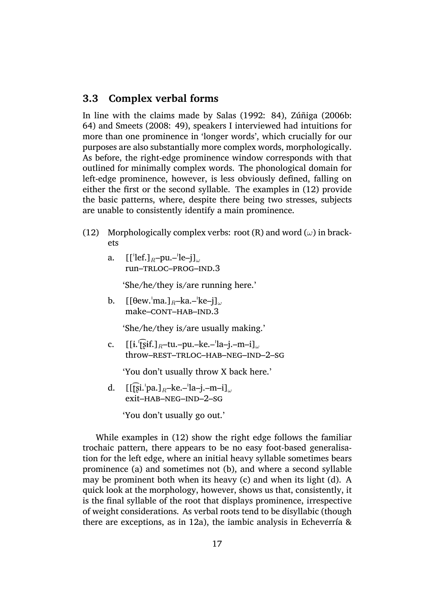#### **3.3 Complex verbal forms**

<span id="page-16-0"></span>In line with the claims made by Salas (1992: 84), Zúñiga (2006b: 64) and Smeets (2008: 49), speakers I interviewed had intuitions for more than one prominence in 'longer words', which crucially for our purposes are also substantially mo[re complex w](#page-32-4)ords, [morphologically](#page-32-7). As befor[e, the right-ed](#page-32-6)ge prominence window corresponds with that outlined for minimally complex words. The phonological domain for left-edge prominence, however, is less obviously defined, falling on either the first or the second syllable. The examples in (12) provide the basic patterns, where, despite there being two stresses, subjects are unable to consistently identify a main prominence.

- (12) Morphologically complex verbs: root (R) and word (*[ω](#page-16-0)*) in brackets
	- a. [[ˈlef.]*R*–pu.–ˈle–j]*<sup>ω</sup>* run–trloc–prog–ind.3

'She/he/they is/are running here.'

b. [[θew.ˈma.]*R*–ka.–ˈke–j]*<sup>ω</sup>* make–CONT–HAB–IND.3

'She/he/they is/are usually making.'

c. [[ɨ.ˈʈ͡ʂɨf.]*R*–tu.–pu.–ke.–ˈla–j.–m–i]*<sup>ω</sup>* throw-REST-TRLOC-HAB-NEG-IND-2-SG

'You don't usually throw X back here.'

d. [[ʈ͡ʂi.ˈpa.]*R*–ke.–ˈla–j.–m–i]*<sup>ω</sup>* exit–hab–neg–ind–2–sg

'You don't usually go out.'

While examples in (12) show the right edge follows the familiar trochaic pattern, there appears to be no easy foot-based generalisation for the left edge, where an initial heavy syllable sometimes bears prominence (a) and so[met](#page-16-0)imes not (b), and where a second syllable may be prominent both when its heavy (c) and when its light (d). A quick look at the morphology, however, shows us that, consistently, it is the final syllable of the root that displays prominence, irrespective of weight considerations. As verbal roots tend to be disyllabic (though there are exceptions, as in 12a), the iambic analysis in Echeverría  $\&$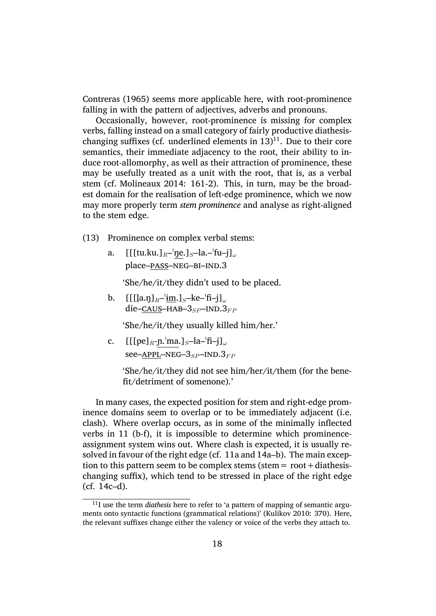Contreras (1965) seems more applicable here, with root-prominence falling in with the pattern of adjectives, adverbs and pronouns.

Occasionally, however, root-prominence is missing for complex [verbs, falling inste](#page-28-0)ad on a small category of fairly productive diathesischanging suffixes (cf. underlined elements in  $13$ )<sup>11</sup>. Due to their core semantics, their immediate adjacency to the root, their ability to induce root-allomorphy, as well as their attraction of prominence, these may be usefully treated as a unit with the r[oot](#page-16-0)[, t](#page-17-0)hat is, as a verbal stem (cf. Molineaux 2014: 161-2). This, in turn, may be the broadest domain for the realisation of left-edge prominence, which we now may more properly term *stem prominence* and analyse as right-aligned to the ste[m edge.](#page-31-7)

- (13) Prominence on complex verbal stems:
	- a. [[[tu.ku.]*R*–ˈŋe.]*S*–la.–ˈfu–j]*<sup>ω</sup>* place-PASS-NEG-BI-IND.3

'She/he/it/they didn't used to be placed.

b.  $[[[[a.n]_R-\{im.]\s-ke^{-}fi-j]_{\omega}]$ die–caus–hab–3*SP* –ind.3*F P*

'She/he/it/they usually killed him/her.'

c. [[[pe]*R*-ɲ.ˈma.]*S*–la–ˈfi–j]*<sup>ω</sup>* see–APPL–NEG–3<sub>SP</sub>–IND.3<sub>FP</sub>

> 'She/he/it/they did not see him/her/it/them (for the benefit/detriment of somenone).'

In many cases, the expected position for stem and right-edge prominence domains seem to overlap or to be immediately adjacent (i.e. clash). Where overlap occurs, as in some of the minimally inflected verbs in 11 (b-f), it is impossible to determine which prominenceassignment system wins out. Where clash is expected, it is usually resolved in favour of the right edge (cf. 11a and 14a–b). The main exception to th[is p](#page-14-1)attern seem to be complex stems (stem  $=$  root  $+$  diathesischanging suffix), which tend to be stressed in place of the right edge (cf. 14c–d).

<span id="page-17-0"></span><sup>&</sup>lt;sup>11</sup>I use the term *diathesis* here to refer to 'a pattern of mapping of semantic arguments onto syntactic functions (grammatical relations)' (Kulikov 2010: 370). Here, ther[elev](#page-16-0)ant suffixes change either the valency or voice of the verbs they attach to.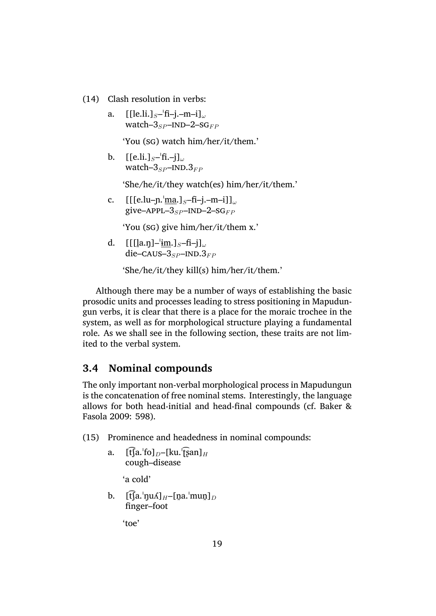- (14) Clash resolution in verbs:
	- a. [[le.li.]*S*–ˈfi–j.–m–i]*<sup>ω</sup>* watch–3<sub>SP</sub>–IND–2–SG<sub>FP</sub>

'You (sg) watch him/her/it/them.'

b. [[e.li.]*S*–ˈfi.–j]*<sup>ω</sup>* watch– $3_{SP}$ –IND. $3_{FP}$ 

'She/he/it/they watch(es) him/her/it/them.'

c. [[[e.lu–ɲ.ˈma.]*S*–fi–j.–m–i]]*<sup>ω</sup>* give– $APPL-3<sub>SP</sub>$ – $IND-2-SG<sub>FP</sub>$ 

'You (sg) give him/her/it/them x.'

d. [[[l ̪a.ŋ]–ˈɨm.]*S*–fi–j]*<sup>ω</sup>*  $die$ –CAUS– $3_{SP}$ –IND. $3_{FP}$ 

'She/he/it/they kill(s) him/her/it/them.'

Although there may be a number of ways of establishing the basic prosodic units and processes leading to stress positioning in Mapudungun verbs, it is clear that there is a place for the moraic trochee in the system, as well as for morphological structure playing a fundamental role. As we shall see in the following section, these traits are not limited to the verbal system.

#### **3.4 Nominal compounds**

<span id="page-18-0"></span>The only important non-verbal morphological process in Mapudungun is the concatenation of free nominal stems. Interestingly, the language allows for both head-initial and head-final compounds (cf. Baker & Fasola 2009: 598).

- (15) Prominence and headedness in nominal compounds:
	- a.  $[t$  $[a$ .<sup> $'[f$ </sup> $]$  $_D$ – $[k$  $u$ . $'[gan]$  $H$ cough–disease

'a cold'

b.  $[\widehat{\text{tfa}}$ .<sup>'</sup>ŋuʎ]<sub>H</sub>–[n̪a.<sup>'</sup>mun̪]<sub>D</sub> finger–foot

'toe'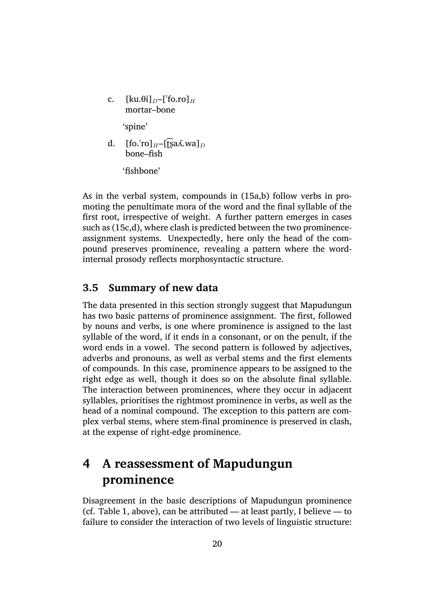c.  $\left[\text{ku.}\theta\text{i}\right]_D - \left[\text{f}_0\text{r}_0\right]_H$ mortar–bone

'spine'

d.  $[fo.'ro]_{H}$ – $[fsa\Lambda.wa]_{D}$ bone–fish

'fishbone'

As in the verbal system, compounds in  $(15a,b)$  follow verbs in promoting the penultimate mora of the word and the final syllable of the first root, irrespective of weight. A further pattern emerges in cases such as (15c,d), where clash is predicted b[etw](#page-18-0)een the two prominenceassignment systems. Unexpectedly, here only the head of the compound preserves prominence, revealing a pattern where the wordinternal [pro](#page-18-0)sody reflects morphosyntactic structure.

#### **3.5 Summary of new data**

The data presented in this section strongly suggest that Mapudungun has two basic patterns of prominence assignment. The first, followed by nouns and verbs, is one where prominence is assigned to the last syllable of the word, if it ends in a consonant, or on the penult, if the word ends in a vowel. The second pattern is followed by adjectives, adverbs and pronouns, as well as verbal stems and the first elements of compounds. In this case, prominence appears to be assigned to the right edge as well, though it does so on the absolute final syllable. The interaction between prominences, where they occur in adjacent syllables, prioritises the rightmost prominence in verbs, as well as the head of a nominal compound. The exception to this pattern are complex verbal stems, where stem-final prominence is preserved in clash, at the expense of right-edge prominence.

## **4 A reassessment of Mapudungun prominence**

Disagreement in the basic descriptions of Mapudungun prominence (cf. Table 1, above), can be attributed — at least partly, I believe — to failure to consider the interaction of two levels of linguistic structure: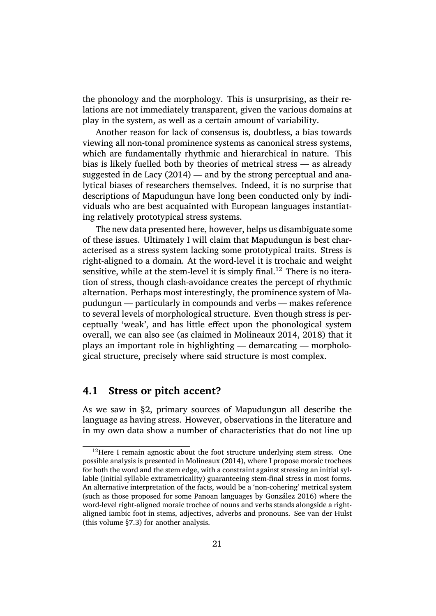the phonology and the morphology. This is unsurprising, as their relations are not immediately transparent, given the various domains at play in the system, as well as a certain amount of variability.

Another reason for lack of consensus is, doubtless, a bias towards viewing all non-tonal prominence systems as canonical stress systems, which are fundamentally rhythmic and hierarchical in nature. This bias is likely fuelled both by theories of metrical stress — as already suggested in de Lacy (2014) — and by the strong perceptual and analytical biases of researchers themselves. Indeed, it is no surprise that descriptions of Mapudungun have long been conducted only by individuals who [are best acquai](#page-30-0)nted with European languages instantiating relatively prototypical stress systems.

The new data presented here, however, helps us disambiguate some of these issues. Ultimately I will claim that Mapudungun is best characterised as a stress system lacking some prototypical traits. Stress is right-aligned to a domain. At the word-level it is trochaic and weight sensitive, while at the stem-level it is simply final.<sup>12</sup> There is no iteration of stress, though clash-avoidance creates the percept of rhythmic alternation. Perhaps most interestingly, the prominence system of Mapudungun — particularly in compounds and verb[s —](#page-20-0) makes reference to several levels of morphological structure. Even though stress is perceptually 'weak', and has little effect upon the phonological system overall, we can also see (as claimed in Molineaux 2014, 2018) that it plays an important role in highlighting — demarcating — morphological structure, precisely where said structure is most complex.

#### **4.1 Stress or pitch accent?**

As we saw in §2, primary sources of Mapudungun all describe the language as having stress. However, observations in the literature and in my own data show a number of characteristics that do not line up

<span id="page-20-0"></span> $12$ Here I remain [a](#page-5-0)gnostic about the foot structure underlying stem stress. One possible analysis is presented in Molineaux (2014), where I propose moraic trochees for both the word and the stem edge, with a constraint against stressing an initial syllable (initial syllable extrametricality) guaranteeing stem-final stress in most forms. An alternative interpretation of the facts, would be a 'non-cohering' metrical system (such as those proposed for so[me Panoan languag](#page-31-7)es by González 2016) where the word-level right-aligned moraic trochee of nouns and verbs stands alongside a rightaligned iambic foot in stems, adjectives, adverbs and pronouns. See van der Hulst (this volume §7.3) for another analysis.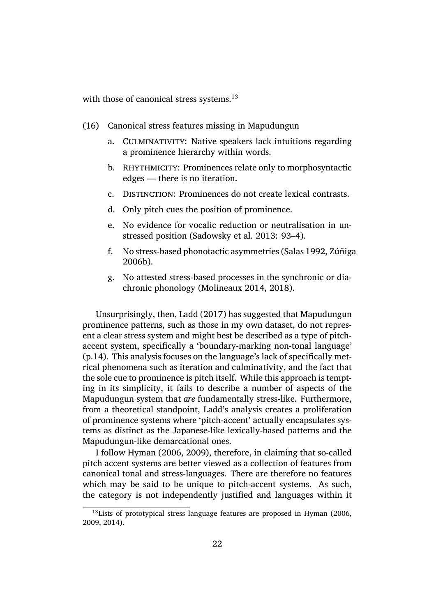with those of canonical stress systems.<sup>13</sup>

(16) Canonical stress features missin[g i](#page-21-0)n Mapudungun

- a. CULMINATIVITY: Native speakers lack intuitions regarding a prominence hierarchy within words.
- b. RHYTHMICITY: Prominences relate only to morphosyntactic edges — there is no iteration.
- c. Distinction: Prominences do not create lexical contrasts.
- d. Only pitch cues the position of prominence.
- e. No evidence for vocalic reduction or neutralisation in unstressed position (Sadowsky et al. 2013: 93–4).
- f. No stress-based phonotactic asymmetries (Salas 1992, Zúñiga 2006b).
- g. No attested stress[-based processes in the](#page-32-12) [synchronic](#page-32-4) [or dia](#page-32-7)[chroni](#page-32-7)c phonology (Molineaux 2014, 2018).

Unsurprisingly, then, Ladd (2017) has suggested that Mapudungun prominence patterns, such ast[hose in my own](#page-31-7) [datase](#page-31-6)t, do not represent a clear stress system and might best be described as a type of pitchaccent system, specifical[ly a 'bounda](#page-31-9)ry-marking non-tonal language' (p.14). This analysis focuses on the language's lack of specifically metrical phenomena such as iteration and culminativity, and the fact that the sole cue to prominence is pitch itself. While this approach is tempting in its simplicity, it fails to describe a number of aspects of the Mapudungun system that *are* fundamentally stress-like. Furthermore, from a theoretical standpoint, Ladd's analysis creates a proliferation of prominence systems where 'pitch-accent' actually encapsulates systems as distinct as the Japanese-like lexically-based patterns and the Mapudungun-like demarcational ones.

I follow Hyman (2006, 2009), therefore, in claiming that so-called pitch accent systems are better viewed as a collection of features from canonical tonal and stress-languages. There are therefore no features which may [be said to be](#page-30-8) [uniqu](#page-30-9)e to pitch-accent systems. As such, the category is not independently justified and languages within it

<span id="page-21-0"></span> $13$ Lists of prototypical stress language features are proposed in Hyman (2006, 2009, 2014).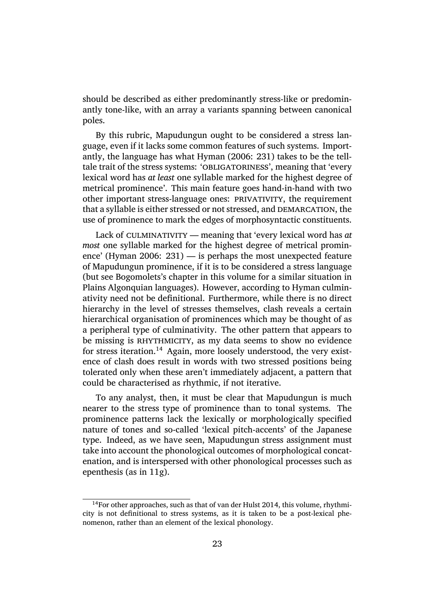should be described as either predominantly stress-like or predominantly tone-like, with an array a variants spanning between canonical poles.

By this rubric, Mapudungun ought to be considered a stress language, even if it lacks some common features of such systems. Importantly, the language has what Hyman (2006: 231) takes to be the telltale trait of the stress systems: 'OBLIGATORINESS', meaning that 'every lexical word has *at least* one syllable marked for the highest degree of metrical prominence'. This [main feature go](#page-30-8)es hand-in-hand with two other important stress-language ones: PRIVATIVITY, the requirement that a syllable is either stressed or not stressed, and DEMARCATION, the use of prominence to mark the edges of morphosyntactic constituents.

Lack of CULMINATIVITY — meaning that 'every lexical word has *at most* one syllable marked for the highest degree of metrical prominence' (Hyman 2006: 231) — is perhaps the most unexpected feature of Mapudungun prominence, if it is to be considered a stress language (but see Bogomolets's chapter in this volume for a similar situation in Plains [Algonquian la](#page-30-8)nguages). However, according to Hyman culminativity need not be definitional. Furthermore, while there is no direct hierarch[y in the lev](#page-28-9)el of stresses themselves, clash reveals a certain hierarchical organisation of prominences which may be thought of as a peripheral type of culminativity. The other pattern that appears to be missing is RHYTHMICITY, as my data seems to show no evidence for stress iteration.<sup>14</sup> Again, more loosely understood, the very existence of clash does result in words with two stressed positions being tolerated only when these aren't immediately adjacent, a pattern that could be character[ise](#page-22-0)d as rhythmic, if not iterative.

To any analyst, then, it must be clear that Mapudungun is much nearer to the stress type of prominence than to tonal systems. The prominence patterns lack the lexically or morphologically specified nature of tones and so-called 'lexical pitch-accents' of the Japanese type. Indeed, as we have seen, Mapudungun stress assignment must take into account the phonological outcomes of morphological concatenation, and is interspersed with other phonological processes such as epenthesis (as in 11g).

<span id="page-22-0"></span> $14$ For other appro[ach](#page-14-1)es, such as that of van der Hulst 2014, this volume, rhythmicity is not definitional to stress systems, as it is taken to be a post-lexical phenomenon, rather than an element of the lexical phonology.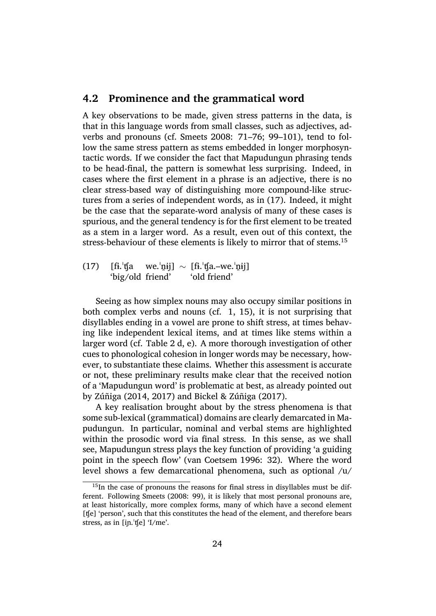#### **4.2 Prominence and the grammatical word**

<span id="page-23-0"></span>A key observations to be made, given stress patterns in the data, is that in this language words from small classes, such as adjectives, adverbs and pronouns (cf. Smeets 2008: 71–76; 99–101), tend to follow the same stress pattern as stems embedded in longer morphosyntactic words. If we consider the fact that Mapudungun phrasing tends to be head-final, the pat[tern is somew](#page-32-6)hat less surprising. Indeed, in cases where the first element in a phrase is an adjective, there is no clear stress-based way of distinguishing more compound-like structures from a series of independent words, as in (17). Indeed, it might be the case that the separate-word analysis of many of these cases is spurious, and the general tendency is for the first element to be treated as a stem in a larger word. As a result, even o[ut o](#page-23-0)f this context, the stress-behaviour of these elements is likely to mirror that of stems.<sup>15</sup>

 $(17)$   $[ $f_i$ ]<sup>t</sup>$ fa 'big/old friend' we.ˈn̪ɨj] *∼* [fɨ.ˈʧa.–we.ˈn̪ɨj] 'old friend'

Seeing as how simplex nouns may also occupy similar positions in both complex verbs and nouns (cf. 1, 15), it is not surprising that disyllables ending in a vowel are prone to shift stress, at times behaving like independent lexical items, and at times like stems within a larger word (cf. Table 2 d, e). A mor[e t](#page-3-0)h[oro](#page-18-0)ugh investigation of other cues to phonological cohesion in longer words may be necessary, however, to substantiate these claims. Whether this assessment is accurate or not, these prelimin[ar](#page-14-0)y results make clear that the received notion of a 'Mapudungun word' is problematic at best, as already pointed out by Zúñiga (2014, 2017) and Bickel & Zúñiga (2017).

A key realisation brought about by the stress phenomena is that some sub-lexical (grammatical) domains are clearly demarcated in Mapu[dungun. In pa](#page-32-10)[rticul](#page-32-5)ar, n[ominal and verbal stem](#page-27-4)s are highlighted within the prosodic word via final stress. In this sense, as we shall see, Mapudungun stress plays the key function of providing 'a guiding point in the speech flow' (van Coetsem 1996: 32). Where the word level shows a few demarcational phenomena, such as optional /u/

<sup>&</sup>lt;sup>15</sup>In the case of pronouns the reasons for final stress in disyllables must be different. Following Smeets (2008[: 99\), it is likely that m](#page-28-10)ost personal pronouns are, at least historically, more complex forms, many of which have a second element [ʧe] 'person', such that this constitutes the head of the element, and therefore bears stress, as in [iɲ.ˈʧe[\] 'I/me'.](#page-32-6)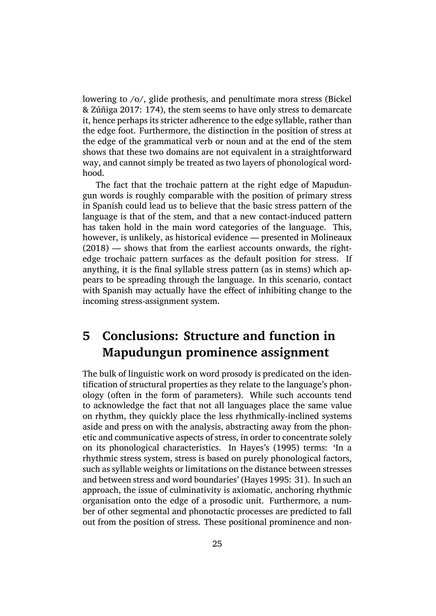lowering to /o/, glide prothesis, and penultimate mora stress (Bickel & Zúñiga 2017: 174), the stem seems to have only stress to demarcate it, hence perhaps its stricter adherence to the edge syllable, rather than the edge foot. Furthermore, the distinction in the position of st[ress at](#page-27-4) [the edge of the](#page-27-4) grammatical verb or noun and at the end of the stem shows that these two domains are not equivalent in a straightforward way, and cannot simply be treated as two layers of phonological wordhood.

The fact that the trochaic pattern at the right edge of Mapudungun words is roughly comparable with the position of primary stress in Spanish could lead us to believe that the basic stress pattern of the language is that of the stem, and that a new contact-induced pattern has taken hold in the main word categories of the language. This, however, is unlikely, as historical evidence — presented in Molineaux (2018) — shows that from the earliest accounts onwards, the rightedge trochaic pattern surfaces as the default position for stress. If anything, it is the final syllable stress pattern (as in stems) [which ap](#page-31-6)[pears to](#page-31-6) be spreading through the language. In this scenario, contact with Spanish may actually have the effect of inhibiting change to the incoming stress-assignment system.

# **5 Conclusions: Structure and function in Mapudungun prominence assignment**

The bulk of linguistic work on word prosody is predicated on the identification of structural properties as they relate to the language's phonology (often in the form of parameters). While such accounts tend to acknowledge the fact that not all languages place the same value on rhythm, they quickly place the less rhythmically-inclined systems aside and press on with the analysis, abstracting away from the phonetic and communicative aspects of stress, in order to concentrate solely on its phonological characteristics. In Hayes's (1995) terms: 'In a rhythmic stress system, stress is based on purely phonological factors, such as syllable weights or limitations on the distance between stresses and between stress and word boundaries' (Hayes 1[995: 3](#page-29-0)1). In such an approach, the issue of culminativity is axiomatic, anchoring rhythmic organisation onto the edge of a prosodic unit. Furthermore, a number of other segmental and phonotactic p[rocesses are](#page-29-0) predicted to fall out from the position of stress. These positional prominence and non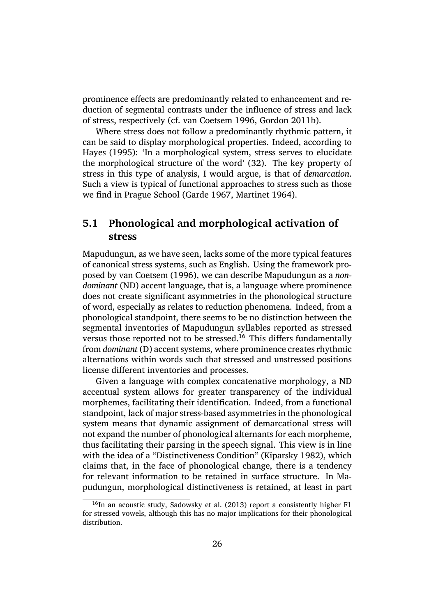prominence effects are predominantly related to enhancement and reduction of segmental contrasts under the influence of stress and lack of stress, respectively (cf. van Coetsem 1996, Gordon 2011b).

Where stress does not follow a predominantly rhythmic pattern, it can be said to display morphological properties. Indeed, according to Hayes (1995): 'In a mor[phological system, s](#page-28-10)[tress serves to](#page-29-10) elucidate the morphological structure of the word' (32). The key property of stress in this type of analysis, I would argue, is that of *demarcation*. [Such a view is](#page-29-0) typical of functional approaches to stress such as those we find in Prague School (Garde 1967, Martinet 1964).

#### **5.1 Phonological a[nd morph](#page-28-11)[ological acti](#page-31-10)vation of stress**

Mapudungun, as we have seen, lacks some of the more typical features of canonical stress systems, such as English. Using the framework proposed by van Coetsem (1996), we can describe Mapudungun as a *nondominant* (ND) accent language, that is, a language where prominence does not create significant asymmetries in the phonological structure of word, [especially as relates t](#page-28-10)o reduction phenomena. Indeed, from a phonological standpoint, there seems to be no distinction between the segmental inventories of Mapudungun syllables reported as stressed versus those reported not to be stressed.<sup>16</sup> This differs fundamentally from *dominant* (D) accent systems, where prominence creates rhythmic alternations within words such that stressed and unstressed positions license different inventories and process[es](#page-25-0).

Given a language with complex concatenative morphology, a ND accentual system allows for greater transparency of the individual morphemes, facilitating their identification. Indeed, from a functional standpoint, lack of major stress-based asymmetries in the phonological system means that dynamic assignment of demarcational stress will not expand the number of phonological alternants for each morpheme, thus facilitating their parsing in the speech signal. This view is in line with the idea of a "Distinctiveness Condition" (Kiparsky 1982), which claims that, in the face of phonological change, there is a tendency for relevant information to be retained in surface structure. In Mapudungun, morphological distinctiveness is re[tained, at least](#page-30-10) in part

<span id="page-25-0"></span> $16$ In an acoustic study, Sadowsky et al. (2013) report a consistently higher F1 for stressed vowels, although this has no major implications for their phonological distribution.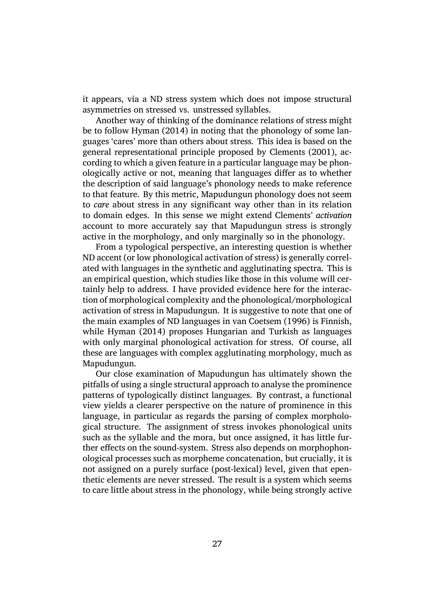it appears, via a ND stress system which does not impose structural asymmetries on stressed vs. unstressed syllables.

Another way of thinking of the dominance relations of stress might be to follow Hyman (2014) in noting that the phonology of some languages 'cares' more than others about stress. This idea is based on the general representational principle proposed by Clements (2001), according to w[hich a given fea](#page-30-11)ture in a particular language may be phonologically active or not, meaning that languages differ as to whether the description of said language's phonology ne[eds to make refere](#page-28-12)nce to that feature. By this metric, Mapudungun phonology does not seem to *care* about stress in any significant way other than in its relation to domain edges. In this sense we might extend Clements' *activation* account to more accurately say that Mapudungun stress is strongly active in the morphology, and only marginally so in the phonology.

From a typological perspective, an interesting question is whether ND accent (or low phonological activation of stress) is generally correlated with languages in the synthetic and agglutinating spectra. This is an empirical question, which studies like those in this volume will certainly help to address. I have provided evidence here for the interaction of morphological complexity and the phonological/morphological activation of stress in Mapudungun. It is suggestive to note that one of the main examples of ND languages in van Coetsem (1996) is Finnish, while Hyman (2014) proposes Hungarian and Turkish as languages with only marginal phonological activation for stress. Of course, all these are languages with complex aggl[utinating morpholog](#page-28-10)y, much as Mapudungun.

Ou[r close examina](#page-30-11)tion of Mapudungun has ultimately shown the pitfalls of using a single structural approach to analyse the prominence patterns of typologically distinct languages. By contrast, a functional view yields a clearer perspective on the nature of prominence in this language, in particular as regards the parsing of complex morphological structure. The assignment of stress invokes phonological units such as the syllable and the mora, but once assigned, it has little further effects on the sound-system. Stress also depends on morphophonological processes such as morpheme concatenation, but crucially, it is not assigned on a purely surface (post-lexical) level, given that epenthetic elements are never stressed. The result is a system which seems to care little about stress in the phonology, while being strongly active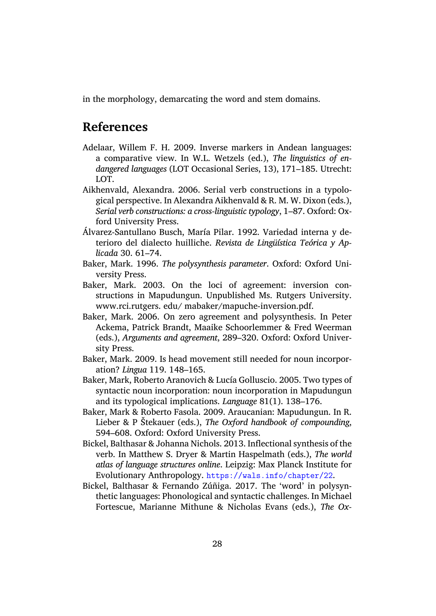in the morphology, demarcating the word and stem domains.

### **References**

- Adelaar, Willem F. H. 2009. Inverse markers in Andean languages: a comparative view. In W.L. Wetzels (ed.), *The linguistics of endangered languages* (LOT Occasional Series, 13), 171–185. Utrecht: LOT.
- <span id="page-27-8"></span>Aikhenvald, Alexandra. 2006. Serial verb constructions in a typological perspective. In Alexandra Aikhenvald & R. M. W. Dixon (eds.), *Serial verb constructions: a cross-linguistic typology*, 1–87. Oxford: Oxford University Press.
- <span id="page-27-5"></span>Álvarez-Santullano Busch, María Pilar. 1992. Variedad interna y deterioro del dialecto huilliche. *Revista de Lingüı́stica Teórica y Aplicada* 30. 61–74.
- <span id="page-27-0"></span>Baker, Mark. 1996. *The polysynthesis parameter*. Oxford: Oxford University Press.
- Baker, Mark. 2003. On the loci of agreement: inversion constructions in Mapudungun. Unpublished Ms. Rutgers University. www.rci.rutgers. edu/ mabaker/mapuche-inversion.pdf.
- <span id="page-27-6"></span>Baker, Mark. 2006. On zero agreement and polysynthesis. In Peter Ackema, Patrick Brandt, Maaike Schoorlemmer & Fred Weerman (eds.), *Arguments and agreement*, 289–320. Oxford: Oxford University Press.
- <span id="page-27-7"></span>Baker, Mark. 2009. Is head movement still needed for noun incorporation? *Lingua* 119. 148–165.
- <span id="page-27-3"></span>Baker, Mark, Roberto Aranovich & Lucía Golluscio. 2005. Two types of syntactic noun incorporation: noun incorporation in Mapudungun and its typological implications. *Language* 81(1). 138–176.
- <span id="page-27-1"></span>Baker, Mark & Roberto Fasola. 2009. Araucanian: Mapudungun. In R. Lieber & P Štekauer (eds.), *The Oxford handbook of compounding*, 594–608. Oxford: Oxford University Press.
- <span id="page-27-9"></span>Bickel, Balthasar & Johanna Nichols. 2013. Inflectional synthesis of the verb. In Matthew S. Dryer & Martin Haspelmath (eds.), *The world atlas of language structures online*. Leipzig: Max Planck Institute for Evolutionary Anthropology. https://wals.info/chapter/22.
- <span id="page-27-4"></span><span id="page-27-2"></span>Bickel, Balthasar & Fernando Zúñiga. 2017. The 'word' in polysynthetic languages: Phonological and syntactic challenges. In Michael Fortescue, Marianne Mithu[ne & Nicholas Evans \(eds.\),](https://wals.info/chapter/22) *The Ox-*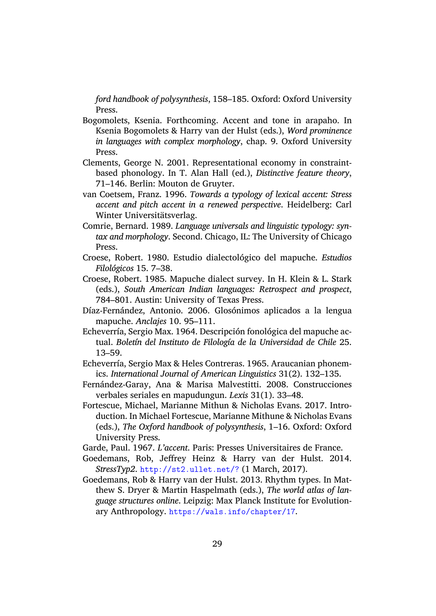*ford handbook of polysynthesis*, 158–185. Oxford: Oxford University Press.

- Bogomolets, Ksenia. Forthcoming. Accent and tone in arapaho. In Ksenia Bogomolets & Harry van der Hulst (eds.), *Word prominence in languages with complex morphology*, chap. 9. Oxford University Press.
- <span id="page-28-9"></span>Clements, George N. 2001. Representational economy in constraintbased phonology. In T. Alan Hall (ed.), *Distinctive feature theory*, 71–146. Berlin: Mouton de Gruyter.
- <span id="page-28-12"></span>van Coetsem, Franz. 1996. *Towards a typology of lexical accent: Stress accent and pitch accent in a renewed perspective*. Heidelberg: Carl Winter Universitätsverlag.
- <span id="page-28-10"></span>Comrie, Bernard. 1989. *Language universals and linguistic typology: syntax and morphology*. Second. Chicago, IL: The University of Chicago Press.
- <span id="page-28-7"></span>Croese, Robert. 1980. Estudio dialectológico del mapuche. *Estudios Filológicos* 15. 7–38.
- <span id="page-28-3"></span>Croese, Robert. 1985. Mapuche dialect survey. In H. Klein & L. Stark (eds.), *South American Indian languages: Retrospect and prospect*, 784–801. Austin: University of Texas Press.
- <span id="page-28-4"></span>Díaz-Fernández, Antonio. 2006. Glosónimos aplicados a la lengua mapuche. *Anclajes* 10. 95–111.
- <span id="page-28-1"></span>Echeverría, Sergio Max. 1964. Descripción fonológica del mapuche actual. *Boletı́n del Instituto de Filologı́a de la Universidad de Chile* 25. 13–59.
- <span id="page-28-8"></span>Echeverría, Sergio Max & Heles Contreras. 1965. Araucanian phonemics. *International Journal of American Linguistics* 31(2). 132–135.
- Fernández-Garay, Ana & Marisa Malvestitti. 2008. Construcciones verbales seriales en mapudungun. *Lexis* 31(1). 33–48.
- <span id="page-28-6"></span><span id="page-28-0"></span>Fortescue, Michael, Marianne Mithun & Nicholas Evans. 2017. Introduction. In Michael Fortescue, Marianne Mithune & Nicholas Evans (eds.), *The Oxford handbook of polysynthesis*, 1–16. Oxford: Oxford University Press.
- <span id="page-28-5"></span>Garde, Paul. 1967. *L'accent*. Paris: Presses Universitaires de France.
- Goedemans, Rob, Jeffrey Heinz & Harry van der Hulst. 2014. *StressTyp2*. http://st2.ullet.net/? (1 March, 2017).
- <span id="page-28-11"></span><span id="page-28-2"></span>Goedemans, Rob & Harry van der Hulst. 2013. Rhythm types. In Matthew S. Dryer & Martin Haspelmath (eds.), *The world atlas of language structures online*[. Leipzig: Max P](http://st2.ullet.net/?)lanck Institute for Evolutionary Anthropology. https://wals.info/chapter/17.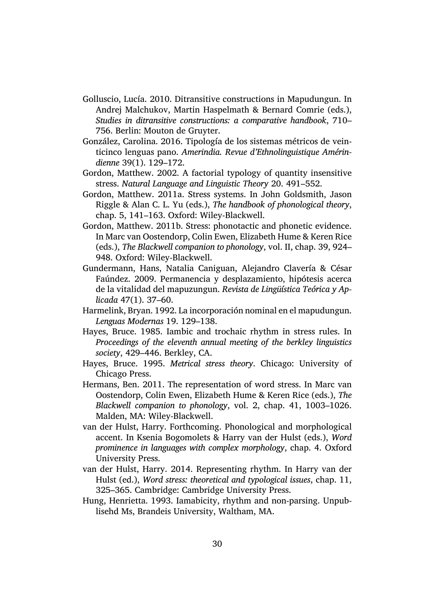- <span id="page-29-7"></span>Golluscio, Lucía. 2010. Ditransitive constructions in Mapudungun. In Andrej Malchukov, Martin Haspelmath & Bernard Comrie (eds.), *Studies in ditransitive constructions: a comparative handbook*, 710– 756. Berlin: Mouton de Gruyter.
- González, Carolina. 2016. Tipología de los sistemas métricos de veinticinco lenguas pano. *Amerindia. Revue d'Ethnolinguistique Amérindienne* 39(1). 129–172.
- <span id="page-29-3"></span>Gordon, Matthew. 2002. A factorial typology of quantity insensitive stress. *Natural Language and Linguistic Theory* 20. 491–552.
- <span id="page-29-4"></span>Gordon, Matthew. 2011a. Stress systems. In John Goldsmith, Jason Riggle & Alan C. L. Yu (eds.), *The handbook of phonological theory*, chap. 5, 141–163. Oxford: Wiley-Blackwell.
- <span id="page-29-10"></span>Gordon, Matthew. 2011b. Stress: phonotactic and phonetic evidence. In Marc van Oostendorp, Colin Ewen, Elizabeth Hume & Keren Rice (eds.), *The Blackwell companion to phonology*, vol. II, chap. 39, 924– 948. Oxford: Wiley-Blackwell.
- <span id="page-29-1"></span>Gundermann, Hans, Natalia Caniguan, Alejandro Clavería & César Faúndez. 2009. Permanencia y desplazamiento, hipótesis acerca de la vitalidad del mapuzungun. *Revista de Lingüı́stica Teórica y Aplicada* 47(1). 37–60.
- <span id="page-29-6"></span>Harmelink, Bryan. 1992. La incorporación nominal en el mapudungun. *Lenguas Modernas* 19. 129–138.
- <span id="page-29-8"></span>Hayes, Bruce. 1985. Iambic and trochaic rhythm in stress rules. In *Proceedings of the eleventh annual meeting of the berkley linguistics society*, 429–446. Berkley, CA.
- <span id="page-29-0"></span>Hayes, Bruce. 1995. *Metrical stress theory*. Chicago: University of Chicago Press.
- <span id="page-29-5"></span>Hermans, Ben. 2011. The representation of word stress. In Marc van Oostendorp, Colin Ewen, Elizabeth Hume & Keren Rice (eds.), *The Blackwell companion to phonology*, vol. 2, chap. 41, 1003–1026. Malden, MA: Wiley-Blackwell.
- van der Hulst, Harry. Forthcoming. Phonological and morphological accent. In Ksenia Bogomolets & Harry van der Hulst (eds.), *Word prominence in languages with complex morphology*, chap. 4. Oxford University Press.
- <span id="page-29-9"></span>van der Hulst, Harry. 2014. Representing rhythm. In Harry van der Hulst (ed.), *Word stress: theoretical and typological issues*, chap. 11, 325–365. Cambridge: Cambridge University Press.
- <span id="page-29-2"></span>Hung, Henrietta. 1993. Iamabicity, rhythm and non-parsing. Unpublisehd Ms, Brandeis University, Waltham, MA.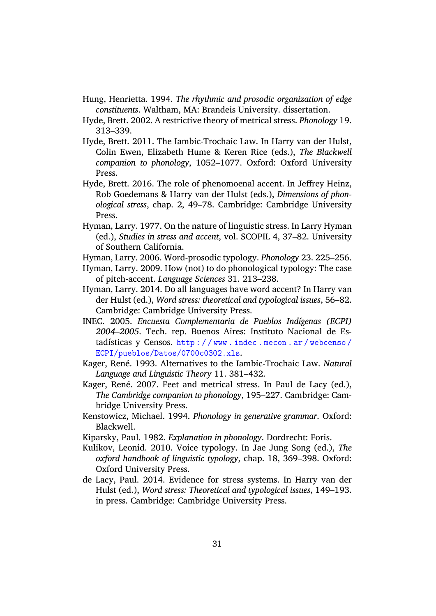- Hung, Henrietta. 1994. *The rhythmic and prosodic organization of edge constituents*. Waltham, MA: Brandeis University. dissertation.
- Hyde, Brett. 2002. A restrictive theory of metrical stress. *Phonology* 19. 313–339.
- <span id="page-30-5"></span>Hyde, Brett. 2011. The Iambic-Trochaic Law. In Harry van der Hulst, Colin Ewen, Elizabeth Hume & Keren Rice (eds.), *The Blackwell companion to phonology*, 1052–1077. Oxford: Oxford University Press.
- <span id="page-30-7"></span>Hyde, Brett. 2016. The role of phenomoenal accent. In Jeffrey Heinz, Rob Goedemans & Harry van der Hulst (eds.), *Dimensions of phonological stress*, chap. 2, 49–78. Cambridge: Cambridge University Press.
- Hyman, Larry. 1977. On the nature of linguistic stress. In Larry Hyman (ed.), *Studies in stress and accent*, vol. SCOPIL 4, 37–82. University of Southern California.
- <span id="page-30-2"></span>Hyman, Larry. 2006. Word-prosodic typology. *Phonology* 23. 225–256.
- Hyman, Larry. 2009. How (not) to do phonological typology: The case of pitch-accent. *Language Sciences* 31. 213–238.
- <span id="page-30-9"></span><span id="page-30-8"></span>Hyman, Larry. 2014. Do all languages have word accent? In Harry van der Hulst (ed.), *Word stress: theoretical and typological issues*, 56–82. Cambridge: Cambridge University Press.
- <span id="page-30-11"></span>INEC. 2005. *Encuesta Complementaria de Pueblos Indı́genas (ECPI) 2004–2005*. Tech. rep. Buenos Aires: Instituto Nacional de Estadísticas y Censos.  $http://www.indec.mecon.ar/webcenso/$ ECPI/pueblos/Datos/0700c0302.xls.
- <span id="page-30-1"></span>Kager, René. 1993. Alternatives to the Iambic-Trochaic Law. *Natural Language and Linguistic Theory* 11. 381–432.
- <span id="page-30-3"></span>Ka[ger, René. 2007. Feet and metrical stress. In Paul de Lacy \(ed.\),](http://www.indec.mecon.ar/webcenso/ECPI/pueblos/Datos/0700c0302.xls) *The Cambridge companion to phonology*, 195–227. Cambridge: Cambridge University Press.
- <span id="page-30-4"></span>Kenstowicz, Michael. 1994. *Phonology in generative grammar*. Oxford: Blackwell.
- Kiparsky, Paul. 1982. *Explanation in phonology*. Dordrecht: Foris.
- <span id="page-30-6"></span>Kulikov, Leonid. 2010. Voice typology. In Jae Jung Song (ed.), *The oxford handbook of linguistic typology*, chap. 18, 369–398. Oxford: Oxford University Press.
- <span id="page-30-10"></span><span id="page-30-0"></span>de Lacy, Paul. 2014. Evidence for stress systems. In Harry van der Hulst (ed.), *Word stress: Theoretical and typological issues*, 149–193. in press. Cambridge: Cambridge University Press.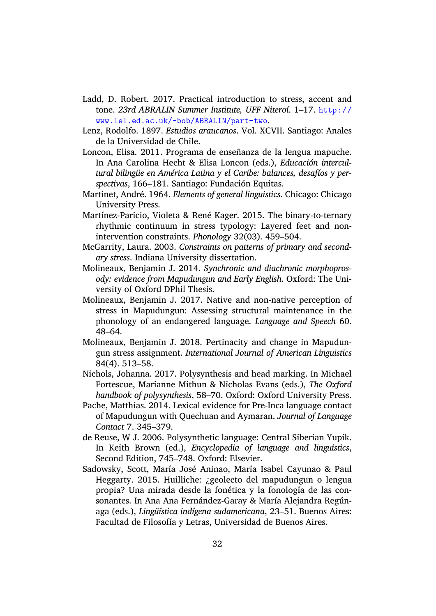- Ladd, D. Robert. 2017. Practical introduction to stress, accent and tone. *23rd ABRALIN Summer Institute, UFF Niteroı́*. 1–17. http:// www.lel.ed.ac.uk/~bob/ABRALIN/part-two.
- <span id="page-31-9"></span>Lenz, Rodolfo. 1897. *Estudios araucanos*. Vol. XCVII. Santiago: Anales de la Universidad de Chile.
- <span id="page-31-2"></span>Lo[ncon, Elisa. 2011. Programa de enseñanza d](http://www.lel.ed.ac.uk/~bob/ABRALIN/part-two)e la lengua [mapuche.](http://www.lel.ed.ac.uk/~bob/ABRALIN/part-two) In Ana Carolina Hecht & Elisa Loncon (eds.), *Educación intercultural bilingüe en América Latina y el Caribe: balances, desafı́os y perspectivas*, 166–181. Santiago: Fundación Equitas.
- <span id="page-31-0"></span>Martinet, André. 1964. *Elements of general linguistics*. Chicago: Chicago University Press.
- <span id="page-31-10"></span>Martínez-Paricio, Violeta & René Kager. 2015. The binary-to-ternary rhythmic continuum in stress typology: Layered feet and nonintervention constraints. *Phonology* 32(03). 459–504.
- McGarrity, Laura. 2003. *Constraints on patterns of primary and secondary stress*. Indiana University dissertation.
- <span id="page-31-3"></span>Molineaux, Benjamin J. 2014. *Synchronic and diachronic morphoprosody: evidence from Mapudungun and Early English*. Oxford: The University of Oxford DPhil Thesis.
- <span id="page-31-7"></span>Molineaux, Benjamin J. 2017. Native and non-native perception of stress in Mapudungun: Assessing structural maintenance in the phonology of an endangered language. *Language and Speech* 60. 48–64.
- <span id="page-31-8"></span>Molineaux, Benjamin J. 2018. Pertinacity and change in Mapudungun stress assignment. *International Journal of American Linguistics* 84(4). 513–58.
- <span id="page-31-6"></span>Nichols, Johanna. 2017. Polysynthesis and head marking. In Michael Fortescue, Marianne Mithun & Nicholas Evans (eds.), *The Oxford handbook of polysynthesis*, 58–70. Oxford: Oxford University Press.
- <span id="page-31-5"></span>Pache, Matthias. 2014. Lexical evidence for Pre-Inca language contact of Mapudungun with Quechuan and Aymaran. *Journal of Language Contact* 7. 345–379.
- <span id="page-31-1"></span>de Reuse, W J. 2006. Polysynthetic language: Central Siberian Yupik. In Keith Brown (ed.), *Encyclopedia of language and linguistics*, Second Edition, 745–748. Oxford: Elsevier.
- <span id="page-31-4"></span>Sadowsky, Scott, María José Aninao, María Isabel Cayunao & Paul Heggarty. 2015. Huilliche: ¿geolecto del mapudungun o lengua propia? Una mirada desde la fonética y la fonología de las consonantes. In Ana Ana Fernández-Garay & María Alejandra Regúnaga (eds.), *Lingüı́stica indı́gena sudamericana*, 23–51. Buenos Aires: Facultad de Filosofía y Letras, Universidad de Buenos Aires.